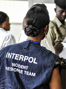# **INTERPOL<br>
NODENT<br>RESPONSE TEAM**

ATTEMPTS BY NON-STATE ACTORS TO DISRUPT COVID-19 VACCINATION EFFORTS,

DELIBERATELY TRANSMIT THE VIRUS AND PROFIT FROM THE SALE OF COUNTERFEIT VACCINES, THERAPEUTICS AND EQUIPMENT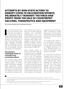# **ATTEMPTS BY NON-STATE ACTORS TO DISRUPT COVID-19 VACCINATION EFFORTS, DELIBERATELY TRANSMIT THE VIRUS AND PROFIT FROM THE SALE OF COUNTERFEIT VACCINES, THERAPEUTICS AND EQUIPMENT**

by Francesco Marelli and R. Alexander Hamilton

In the previous article we saw how terrorists and extremists are malicious-<br>Iy using social media to spread disinformation about n the previous article we saw how terrorists and extremists are maliciously using social media to COVID-19. The present article presents how non-state actors are also seeking to physically sabotage vaccination efforts, deliberately transmit the virus and profit from the sale of counterfeit vaccines, therapeutics and equipment.

### **Disrupting or sabotaging COVID-19 treatment and vaccination efforts**

On 24 March 2020, agents from the United States (U.S.) Federal Bureau of Investigation (FBI) fatally wounded white supremacist Timothy Wilson before he was able to detonate a car bomb outside of a Kansas City-area hospital caring for coronavirus patients. Wilson was active on at least two neo-Nazi Telegram channels and maintained communication with a U.S. Army soldier who expressed interest in attacking a major American news network and targeting a Democratic presidential candidate.1 Wilson's last online comment was an anti-Semitic message regarding the origin of COVID-19.

More recently, several attempts have been made by non-state actors to sabotage COVID-19 vaccination efforts. On 24 and 25 December 2020, a pharmacist tampered with over 500 doses of Moderna vaccine at Advocate Aurora Health Hospital in the U.S. State of Wisconsin. Facing charges from the Department of Justice, the pharmacist admitted to removing 57 vials of the Moderna vaccine from cold storage at the Hospital,

leaving them out to spoil overnight.2 According to federal prosecutors, the pharmacist held extremist views including that the 9/11 terrorist attacks were faked $3$ 

On 18 March 2021, police in the Netherlands arrested a man on suspicion of plotting a crime with "terrorist intent" for allegedly planning to set off a "firework bomb" at a COVID-19 vaccination centre close to Amsterdam.<sup>4</sup>

On 3 April 2021, two Molotov cocktails were thrown at a vaccination centre in Brescia in Northern Italy where COV-ID-19 vaccines were stored. Although the explosive devices did not cause serious damage, Italy's Carabinieri military police force stated that the arsonists' intention was to sabotage the country's vaccination campaign by

<sup>1</sup> Levine M. (26 March 2020), 'FBI learned of coronavirus-inspired bomb plotter through radicalized US Army soldier' in ABC News.

<sup>2</sup> Ivan Pereira, Alexander Mallin and Sasha Pezenik (27 January 2021), 'Pharmacist pleads guilty to federal charges for intentionally sabotaging COVID vaccines' in ABC News.

<sup>3</sup> Todd Richmond (9 February 2021), 'Former Wisconsin pharmacist pleads guilty to vaccine tampering' in Chicago Tribune.

<sup>4</sup> The Associated Press (8 April 2021), Dutch police detain man in plot to attack vaccination center.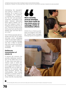intimidating the population and fueling a climate of uncertainty. As a result of the investigation, the Carabinieri arrested two members of the "No Vax" anti-vaccination movement. According to the Italian National Associated Press Agency (ANSA), one of the two suspects wrote on Facebook shortly after the arson: "If we want to destroy the enemy we must use the same weapon 'fear' and their fear is our unity."5

Each of these episodes demonstrates that the risk of violent non-state actors sabotaging COVID-19 vaccination efforts is a real and on-going challenge, one that is likely to become only more acute as vaccination campaigns gain momentum worldwide.

# **Deliberate transmission of COVID-19**

A second risk concerns the possible deliberate transmission of the SARS-CoV-2 virus. To date, there have been numerous cases in which terrorists and extremists have encouraged their followers to spread the virus to infect opponents. For example, rightwing extremist groups, like CoronaWaffen, have incited followers to spread COVID-19 by "coughing on a local minority" and ISIL has described



**More recently, several attempts have been made by non-state actors to sabotage COVID-19 vaccination efforts**

COVID-19 as a "divine punishment of arrogance and unbelief." Despite these messages, these groups do not appear to





5 The Cube (3 May 2021), 'Brescia vaccine centre arson: Italian police arrest two anti-vaxxers for Molotov cocktail attack' in Euronews.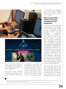



have made serious attempts to weaponize the virus by using contagious supporters to infect opponents.<sup>6</sup>

One recent event, although classified by authorities as a "crime of injury" rather than

an extremist or terrorist act, nonetheless sheds light on the ease with which COVID-19 could be deliberately spread by non-state actors. Specifically, on 21 April 2021, the National Police in Spain arrested a man on the island of Majorca who went to his workplace and a gym while showing COVID-19 symptoms, infecting 22 people.<sup>7</sup>

## **Sale of counterfeit COVID-19 vaccines, therapeutics and equipment**

A third risk concerns attempts by non-state actors to illegally sell or infiltrate legal suppliers with counterfeit or substandard COVID-19 vaccines, medicines or equipment. According to the twenty-seventh report of the United Nations Analytical Support and Sanctions Monitoring Team, established by resolution 1526 (2004), a Member State brought charges against an alleged ISIL facilitator who had operated a website, Face-MaskCenter.com, accused of fraudulently selling personal protective equipment (PPE), including N-95 masks. Another Member State reported that ISIL cells in the Syrian Arab Republic were seeking to profit from the sale of medicines and equipment needed to treat COVID-19 patients.

There have also been examples of criminal groups that have advertised, sold and administered fake vaccines. On 19 November 2020, Gauteng police disrupted an operation selling fake vaccines and

<sup>6</sup> Twenty-seventh report of the Analytical Support and Sanctions Monitoring Team submitted pursuant to resolution 2368 (2017) concerning ISIL (Da'esh), Al-Qaida and associated individuals and entities, p. 5.

<sup>7</sup> Bryan Pietsch (24 April 2021), 'Spanish police arrested a man for spreading the coronavirus to 22 people' in The New York Times.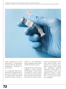

masks operating out of two warehouses at Growthpoint Industrial Park at Bell Street, Meadowdale, Germiston in South Africa.

On 2 December 2020, the International Criminal Police Organization (INTERPOL) issued an Orange Notice warning of potential criminal activity in

relation to the falsification, theft and illegal advertising of COVID-19 and flu vaccines.

Although the non-state actors engaged in these activities would appear to be primarily motivated by profits, rather than a desire to cause deliberate harm, the sale of counterfeit COVID-19 vaccines, thera-

peutics and equipment could have severe societal consequences. For example, counterfeit vaccines that include toxic ingredients (whether introduced intentionally or unintentionally) could cause significant sickness or death, public alarm and the disruption of government vaccination campaigns.